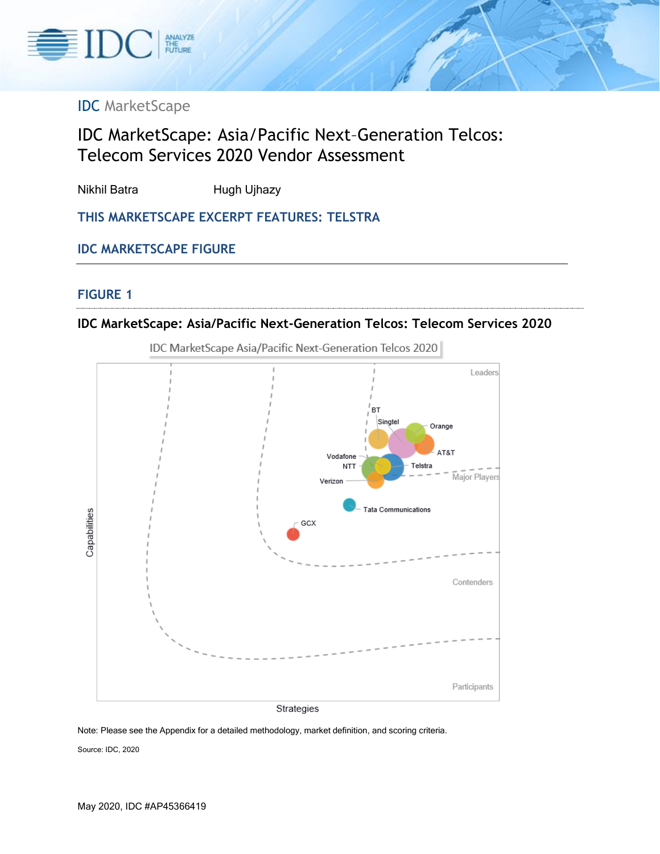

# IDC MarketScape

# IDC MarketScape: Asia/Pacific Next–Generation Telcos: Telecom Services 2020 Vendor Assessment

Nikhil Batra **Hugh Ujhazy** 

**THIS MARKETSCAPE EXCERPT FEATURES: TELSTRA**

### **IDC MARKETSCAPE FIGURE**

#### **FIGURE 1**

### **IDC MarketScape: Asia/Pacific Next-Generation Telcos: Telecom Services 2020**



IDC MarketScape Asia/Pacific Next-Generation Telcos 2020

Note: Please see the Appendix for a detailed methodology, market definition, and scoring criteria.

Source: IDC, 2020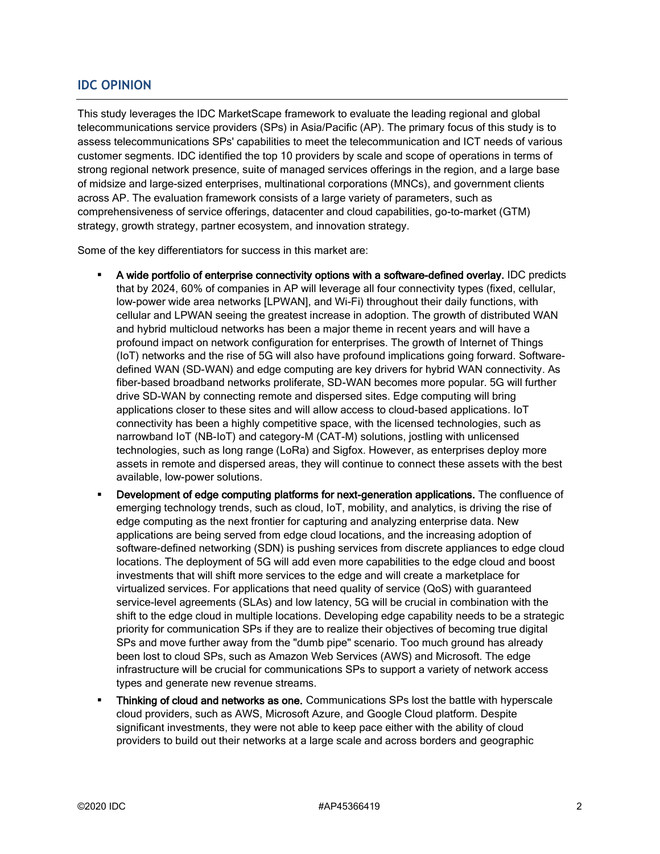### **IDC OPINION**

This study leverages the IDC MarketScape framework to evaluate the leading regional and global telecommunications service providers (SPs) in Asia/Pacific (AP). The primary focus of this study is to assess telecommunications SPs' capabilities to meet the telecommunication and ICT needs of various customer segments. IDC identified the top 10 providers by scale and scope of operations in terms of strong regional network presence, suite of managed services offerings in the region, and a large base of midsize and large-sized enterprises, multinational corporations (MNCs), and government clients across AP. The evaluation framework consists of a large variety of parameters, such as comprehensiveness of service offerings, datacenter and cloud capabilities, go-to-market (GTM) strategy, growth strategy, partner ecosystem, and innovation strategy.

Some of the key differentiators for success in this market are:

- A wide portfolio of enterprise connectivity options with a software-defined overlay. IDC predicts that by 2024, 60% of companies in AP will leverage all four connectivity types (fixed, cellular, low-power wide area networks [LPWAN], and Wi-Fi) throughout their daily functions, with cellular and LPWAN seeing the greatest increase in adoption. The growth of distributed WAN and hybrid multicloud networks has been a major theme in recent years and will have a profound impact on network configuration for enterprises. The growth of Internet of Things (IoT) networks and the rise of 5G will also have profound implications going forward. Softwaredefined WAN (SD-WAN) and edge computing are key drivers for hybrid WAN connectivity. As fiber-based broadband networks proliferate, SD-WAN becomes more popular. 5G will further drive SD-WAN by connecting remote and dispersed sites. Edge computing will bring applications closer to these sites and will allow access to cloud-based applications. IoT connectivity has been a highly competitive space, with the licensed technologies, such as narrowband IoT (NB-IoT) and category-M (CAT-M) solutions, jostling with unlicensed technologies, such as long range (LoRa) and Sigfox. However, as enterprises deploy more assets in remote and dispersed areas, they will continue to connect these assets with the best available, low-power solutions.
- Development of edge computing platforms for next-generation applications. The confluence of emerging technology trends, such as cloud, IoT, mobility, and analytics, is driving the rise of edge computing as the next frontier for capturing and analyzing enterprise data. New applications are being served from edge cloud locations, and the increasing adoption of software-defined networking (SDN) is pushing services from discrete appliances to edge cloud locations. The deployment of 5G will add even more capabilities to the edge cloud and boost investments that will shift more services to the edge and will create a marketplace for virtualized services. For applications that need quality of service (QoS) with guaranteed service-level agreements (SLAs) and low latency, 5G will be crucial in combination with the shift to the edge cloud in multiple locations. Developing edge capability needs to be a strategic priority for communication SPs if they are to realize their objectives of becoming true digital SPs and move further away from the "dumb pipe" scenario. Too much ground has already been lost to cloud SPs, such as Amazon Web Services (AWS) and Microsoft. The edge infrastructure will be crucial for communications SPs to support a variety of network access types and generate new revenue streams.
- Thinking of cloud and networks as one. Communications SPs lost the battle with hyperscale cloud providers, such as AWS, Microsoft Azure, and Google Cloud platform. Despite significant investments, they were not able to keep pace either with the ability of cloud providers to build out their networks at a large scale and across borders and geographic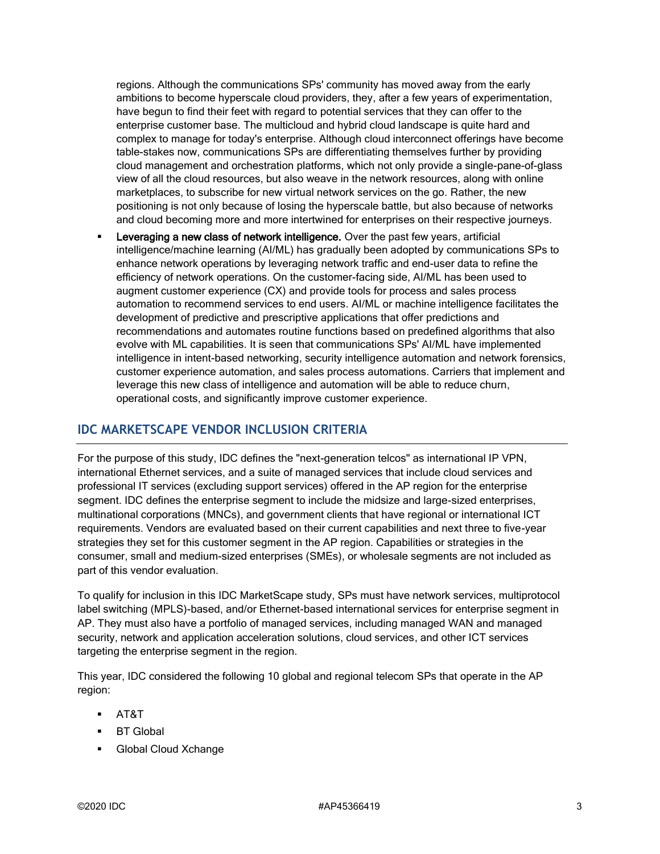regions. Although the communications SPs' community has moved away from the early ambitions to become hyperscale cloud providers, they, after a few years of experimentation, have begun to find their feet with regard to potential services that they can offer to the enterprise customer base. The multicloud and hybrid cloud landscape is quite hard and complex to manage for today's enterprise. Although cloud interconnect offerings have become table-stakes now, communications SPs are differentiating themselves further by providing cloud management and orchestration platforms, which not only provide a single-pane-of-glass view of all the cloud resources, but also weave in the network resources, along with online marketplaces, to subscribe for new virtual network services on the go. Rather, the new positioning is not only because of losing the hyperscale battle, but also because of networks and cloud becoming more and more intertwined for enterprises on their respective journeys.

Leveraging a new class of network intelligence. Over the past few years, artificial intelligence/machine learning (AI/ML) has gradually been adopted by communications SPs to enhance network operations by leveraging network traffic and end-user data to refine the efficiency of network operations. On the customer-facing side, AI/ML has been used to augment customer experience (CX) and provide tools for process and sales process automation to recommend services to end users. AI/ML or machine intelligence facilitates the development of predictive and prescriptive applications that offer predictions and recommendations and automates routine functions based on predefined algorithms that also evolve with ML capabilities. It is seen that communications SPs' AI/ML have implemented intelligence in intent-based networking, security intelligence automation and network forensics, customer experience automation, and sales process automations. Carriers that implement and leverage this new class of intelligence and automation will be able to reduce churn, operational costs, and significantly improve customer experience.

#### **IDC MARKETSCAPE VENDOR INCLUSION CRITERIA**

For the purpose of this study, IDC defines the "next-generation telcos" as international IP VPN, international Ethernet services, and a suite of managed services that include cloud services and professional IT services (excluding support services) offered in the AP region for the enterprise segment. IDC defines the enterprise segment to include the midsize and large-sized enterprises, multinational corporations (MNCs), and government clients that have regional or international ICT requirements. Vendors are evaluated based on their current capabilities and next three to five-year strategies they set for this customer segment in the AP region. Capabilities or strategies in the consumer, small and medium-sized enterprises (SMEs), or wholesale segments are not included as part of this vendor evaluation.

To qualify for inclusion in this IDC MarketScape study, SPs must have network services, multiprotocol label switching (MPLS)-based, and/or Ethernet-based international services for enterprise segment in AP. They must also have a portfolio of managed services, including managed WAN and managed security, network and application acceleration solutions, cloud services, and other ICT services targeting the enterprise segment in the region.

This year, IDC considered the following 10 global and regional telecom SPs that operate in the AP region:

- AT&T
- BT Global
- Global Cloud Xchange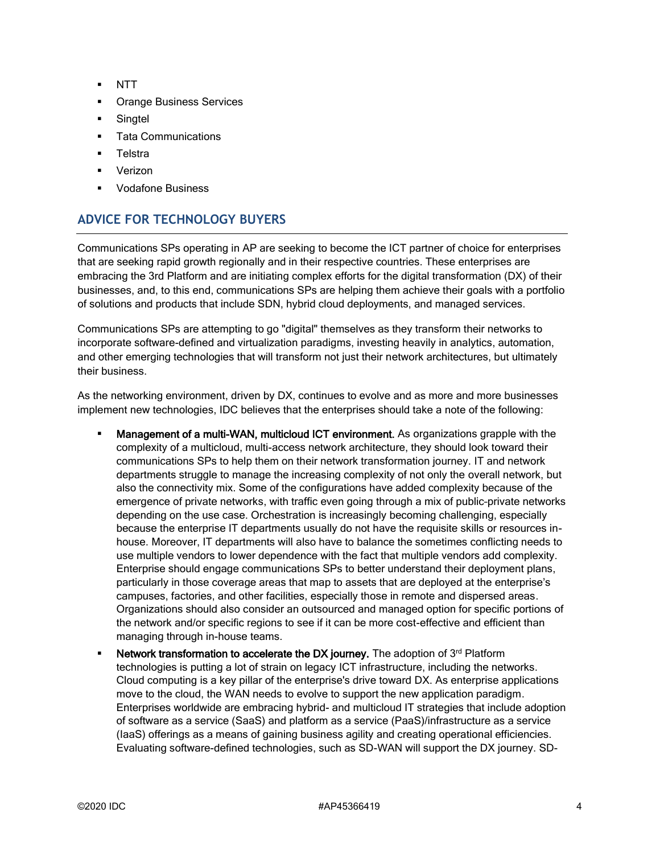- NTT
- **Orange Business Services**
- Singtel
- Tata Communications
- **Telstra**
- Verizon
- **Vodafone Business**

# **ADVICE FOR TECHNOLOGY BUYERS**

Communications SPs operating in AP are seeking to become the ICT partner of choice for enterprises that are seeking rapid growth regionally and in their respective countries. These enterprises are embracing the 3rd Platform and are initiating complex efforts for the digital transformation (DX) of their businesses, and, to this end, communications SPs are helping them achieve their goals with a portfolio of solutions and products that include SDN, hybrid cloud deployments, and managed services.

Communications SPs are attempting to go "digital" themselves as they transform their networks to incorporate software-defined and virtualization paradigms, investing heavily in analytics, automation, and other emerging technologies that will transform not just their network architectures, but ultimately their business.

As the networking environment, driven by DX, continues to evolve and as more and more businesses implement new technologies, IDC believes that the enterprises should take a note of the following:

- **Management of a multi-WAN, multicloud ICT environment.** As organizations grapple with the complexity of a multicloud, multi-access network architecture, they should look toward their communications SPs to help them on their network transformation journey. IT and network departments struggle to manage the increasing complexity of not only the overall network, but also the connectivity mix. Some of the configurations have added complexity because of the emergence of private networks, with traffic even going through a mix of public–private networks depending on the use case. Orchestration is increasingly becoming challenging, especially because the enterprise IT departments usually do not have the requisite skills or resources inhouse. Moreover, IT departments will also have to balance the sometimes conflicting needs to use multiple vendors to lower dependence with the fact that multiple vendors add complexity. Enterprise should engage communications SPs to better understand their deployment plans, particularly in those coverage areas that map to assets that are deployed at the enterprise's campuses, factories, and other facilities, especially those in remote and dispersed areas. Organizations should also consider an outsourced and managed option for specific portions of the network and/or specific regions to see if it can be more cost-effective and efficient than managing through in-house teams.
- **EXECT** Network transformation to accelerate the DX journey. The adoption of  $3<sup>rd</sup>$  Platform technologies is putting a lot of strain on legacy ICT infrastructure, including the networks. Cloud computing is a key pillar of the enterprise's drive toward DX. As enterprise applications move to the cloud, the WAN needs to evolve to support the new application paradigm. Enterprises worldwide are embracing hybrid- and multicloud IT strategies that include adoption of software as a service (SaaS) and platform as a service (PaaS)/infrastructure as a service (IaaS) offerings as a means of gaining business agility and creating operational efficiencies. Evaluating software-defined technologies, such as SD-WAN will support the DX journey. SD-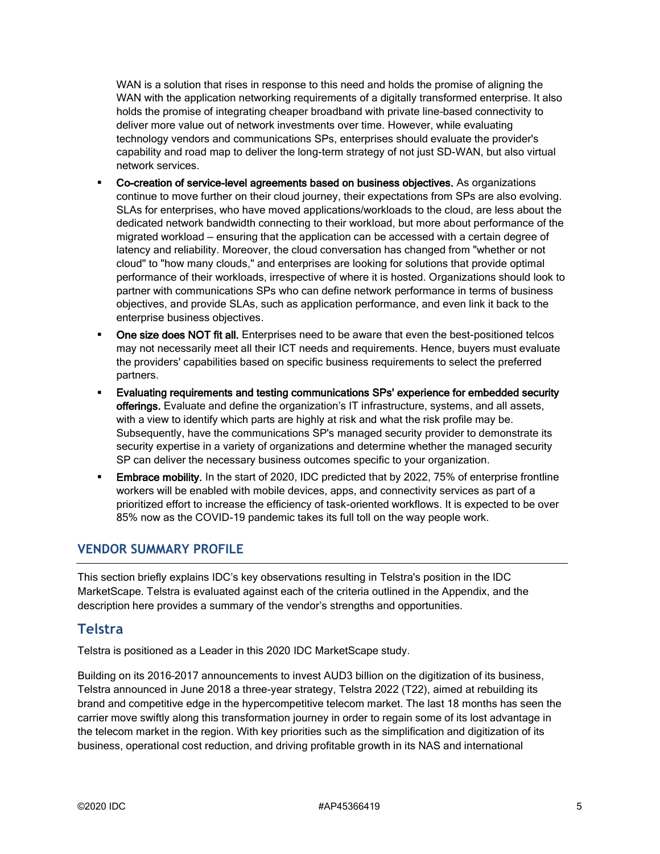WAN is a solution that rises in response to this need and holds the promise of aligning the WAN with the application networking requirements of a digitally transformed enterprise. It also holds the promise of integrating cheaper broadband with private line–based connectivity to deliver more value out of network investments over time. However, while evaluating technology vendors and communications SPs, enterprises should evaluate the provider's capability and road map to deliver the long-term strategy of not just SD-WAN, but also virtual network services.

- Co-creation of service-level agreements based on business objectives. As organizations continue to move further on their cloud journey, their expectations from SPs are also evolving. SLAs for enterprises, who have moved applications/workloads to the cloud, are less about the dedicated network bandwidth connecting to their workload, but more about performance of the migrated workload — ensuring that the application can be accessed with a certain degree of latency and reliability. Moreover, the cloud conversation has changed from "whether or not cloud" to "how many clouds," and enterprises are looking for solutions that provide optimal performance of their workloads, irrespective of where it is hosted. Organizations should look to partner with communications SPs who can define network performance in terms of business objectives, and provide SLAs, such as application performance, and even link it back to the enterprise business objectives.
- One size does NOT fit all. Enterprises need to be aware that even the best-positioned telcos may not necessarily meet all their ICT needs and requirements. Hence, buyers must evaluate the providers' capabilities based on specific business requirements to select the preferred partners.
- Evaluating requirements and testing communications SPs' experience for embedded security offerings. Evaluate and define the organization's IT infrastructure, systems, and all assets, with a view to identify which parts are highly at risk and what the risk profile may be. Subsequently, have the communications SP's managed security provider to demonstrate its security expertise in a variety of organizations and determine whether the managed security SP can deliver the necessary business outcomes specific to your organization.
- **Embrace mobility.** In the start of 2020, IDC predicted that by 2022, 75% of enterprise frontline workers will be enabled with mobile devices, apps, and connectivity services as part of a prioritized effort to increase the efficiency of task-oriented workflows. It is expected to be over 85% now as the COVID-19 pandemic takes its full toll on the way people work.

#### **VENDOR SUMMARY PROFILE**

This section briefly explains IDC's key observations resulting in Telstra's position in the IDC MarketScape. Telstra is evaluated against each of the criteria outlined in the Appendix, and the description here provides a summary of the vendor's strengths and opportunities.

#### **Telstra**

Telstra is positioned as a Leader in this 2020 IDC MarketScape study.

Building on its 2016–2017 announcements to invest AUD3 billion on the digitization of its business, Telstra announced in June 2018 a three-year strategy, Telstra 2022 (T22), aimed at rebuilding its brand and competitive edge in the hypercompetitive telecom market. The last 18 months has seen the carrier move swiftly along this transformation journey in order to regain some of its lost advantage in the telecom market in the region. With key priorities such as the simplification and digitization of its business, operational cost reduction, and driving profitable growth in its NAS and international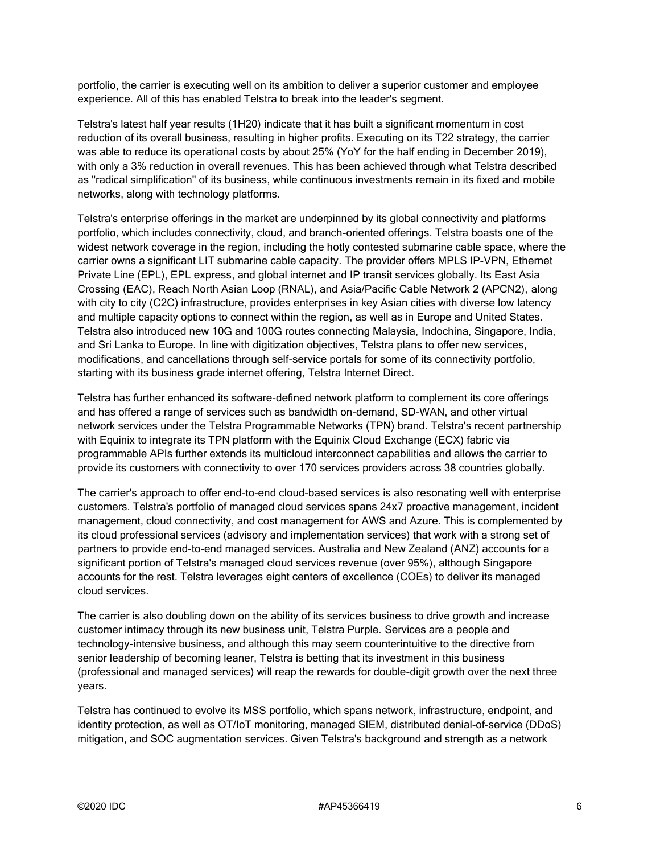portfolio, the carrier is executing well on its ambition to deliver a superior customer and employee experience. All of this has enabled Telstra to break into the leader's segment.

Telstra's latest half year results (1H20) indicate that it has built a significant momentum in cost reduction of its overall business, resulting in higher profits. Executing on its T22 strategy, the carrier was able to reduce its operational costs by about 25% (YoY for the half ending in December 2019), with only a 3% reduction in overall revenues. This has been achieved through what Telstra described as "radical simplification" of its business, while continuous investments remain in its fixed and mobile networks, along with technology platforms.

Telstra's enterprise offerings in the market are underpinned by its global connectivity and platforms portfolio, which includes connectivity, cloud, and branch-oriented offerings. Telstra boasts one of the widest network coverage in the region, including the hotly contested submarine cable space, where the carrier owns a significant LIT submarine cable capacity. The provider offers MPLS IP-VPN, Ethernet Private Line (EPL), EPL express, and global internet and IP transit services globally. Its East Asia Crossing (EAC), Reach North Asian Loop (RNAL), and Asia/Pacific Cable Network 2 (APCN2), along with city to city (C2C) infrastructure, provides enterprises in key Asian cities with diverse low latency and multiple capacity options to connect within the region, as well as in Europe and United States. Telstra also introduced new 10G and 100G routes connecting Malaysia, Indochina, Singapore, India, and Sri Lanka to Europe. In line with digitization objectives, Telstra plans to offer new services, modifications, and cancellations through self-service portals for some of its connectivity portfolio, starting with its business grade internet offering, Telstra Internet Direct.

Telstra has further enhanced its software-defined network platform to complement its core offerings and has offered a range of services such as bandwidth on-demand, SD-WAN, and other virtual network services under the Telstra Programmable Networks (TPN) brand. Telstra's recent partnership with Equinix to integrate its TPN platform with the Equinix Cloud Exchange (ECX) fabric via programmable APIs further extends its multicloud interconnect capabilities and allows the carrier to provide its customers with connectivity to over 170 services providers across 38 countries globally.

The carrier's approach to offer end-to-end cloud-based services is also resonating well with enterprise customers. Telstra's portfolio of managed cloud services spans 24x7 proactive management, incident management, cloud connectivity, and cost management for AWS and Azure. This is complemented by its cloud professional services (advisory and implementation services) that work with a strong set of partners to provide end-to-end managed services. Australia and New Zealand (ANZ) accounts for a significant portion of Telstra's managed cloud services revenue (over 95%), although Singapore accounts for the rest. Telstra leverages eight centers of excellence (COEs) to deliver its managed cloud services.

The carrier is also doubling down on the ability of its services business to drive growth and increase customer intimacy through its new business unit, Telstra Purple. Services are a people and technology-intensive business, and although this may seem counterintuitive to the directive from senior leadership of becoming leaner, Telstra is betting that its investment in this business (professional and managed services) will reap the rewards for double-digit growth over the next three years.

Telstra has continued to evolve its MSS portfolio, which spans network, infrastructure, endpoint, and identity protection, as well as OT/IoT monitoring, managed SIEM, distributed denial-of-service (DDoS) mitigation, and SOC augmentation services. Given Telstra's background and strength as a network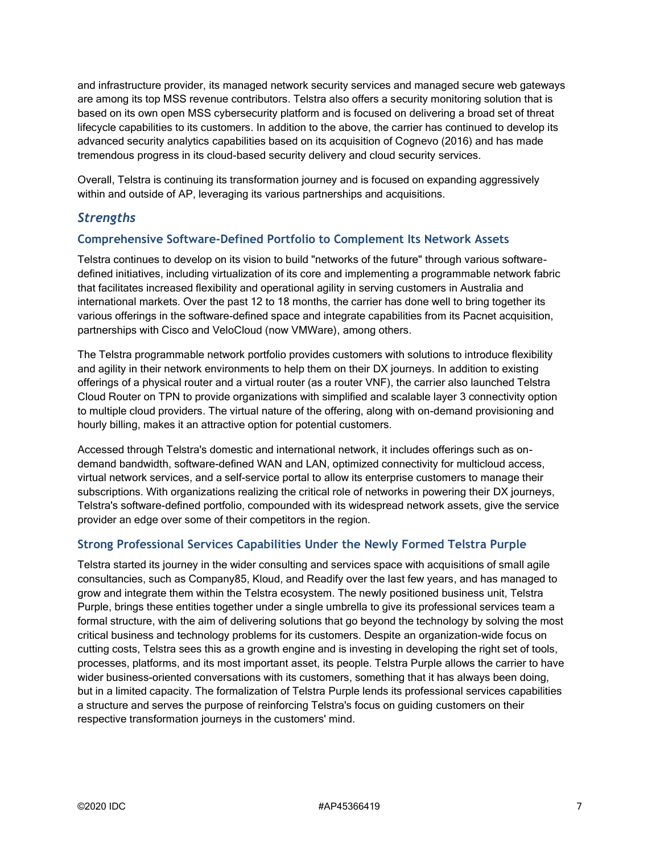and infrastructure provider, its managed network security services and managed secure web gateways are among its top MSS revenue contributors. Telstra also offers a security monitoring solution that is based on its own open MSS cybersecurity platform and is focused on delivering a broad set of threat lifecycle capabilities to its customers. In addition to the above, the carrier has continued to develop its advanced security analytics capabilities based on its acquisition of Cognevo (2016) and has made tremendous progress in its cloud-based security delivery and cloud security services.

Overall, Telstra is continuing its transformation journey and is focused on expanding aggressively within and outside of AP, leveraging its various partnerships and acquisitions.

#### *Strengths*

#### **Comprehensive Software-Defined Portfolio to Complement Its Network Assets**

Telstra continues to develop on its vision to build "networks of the future" through various softwaredefined initiatives, including virtualization of its core and implementing a programmable network fabric that facilitates increased flexibility and operational agility in serving customers in Australia and international markets. Over the past 12 to 18 months, the carrier has done well to bring together its various offerings in the software-defined space and integrate capabilities from its Pacnet acquisition, partnerships with Cisco and VeloCloud (now VMWare), among others.

The Telstra programmable network portfolio provides customers with solutions to introduce flexibility and agility in their network environments to help them on their DX journeys. In addition to existing offerings of a physical router and a virtual router (as a router VNF), the carrier also launched Telstra Cloud Router on TPN to provide organizations with simplified and scalable layer 3 connectivity option to multiple cloud providers. The virtual nature of the offering, along with on-demand provisioning and hourly billing, makes it an attractive option for potential customers.

Accessed through Telstra's domestic and international network, it includes offerings such as ondemand bandwidth, software-defined WAN and LAN, optimized connectivity for multicloud access, virtual network services, and a self-service portal to allow its enterprise customers to manage their subscriptions. With organizations realizing the critical role of networks in powering their DX journeys, Telstra's software-defined portfolio, compounded with its widespread network assets, give the service provider an edge over some of their competitors in the region.

#### **Strong Professional Services Capabilities Under the Newly Formed Telstra Purple**

Telstra started its journey in the wider consulting and services space with acquisitions of small agile consultancies, such as Company85, Kloud, and Readify over the last few years, and has managed to grow and integrate them within the Telstra ecosystem. The newly positioned business unit, Telstra Purple, brings these entities together under a single umbrella to give its professional services team a formal structure, with the aim of delivering solutions that go beyond the technology by solving the most critical business and technology problems for its customers. Despite an organization-wide focus on cutting costs, Telstra sees this as a growth engine and is investing in developing the right set of tools, processes, platforms, and its most important asset, its people. Telstra Purple allows the carrier to have wider business-oriented conversations with its customers, something that it has always been doing, but in a limited capacity. The formalization of Telstra Purple lends its professional services capabilities a structure and serves the purpose of reinforcing Telstra's focus on guiding customers on their respective transformation journeys in the customers' mind.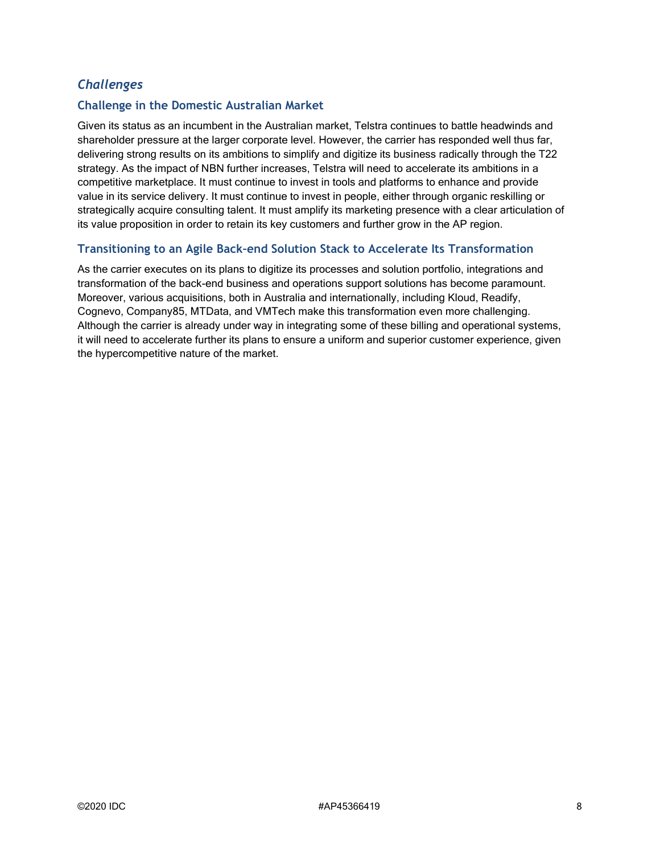### *Challenges*

#### **Challenge in the Domestic Australian Market**

Given its status as an incumbent in the Australian market, Telstra continues to battle headwinds and shareholder pressure at the larger corporate level. However, the carrier has responded well thus far, delivering strong results on its ambitions to simplify and digitize its business radically through the T22 strategy. As the impact of NBN further increases, Telstra will need to accelerate its ambitions in a competitive marketplace. It must continue to invest in tools and platforms to enhance and provide value in its service delivery. It must continue to invest in people, either through organic reskilling or strategically acquire consulting talent. It must amplify its marketing presence with a clear articulation of its value proposition in order to retain its key customers and further grow in the AP region.

#### **Transitioning to an Agile Back–end Solution Stack to Accelerate Its Transformation**

As the carrier executes on its plans to digitize its processes and solution portfolio, integrations and transformation of the back-end business and operations support solutions has become paramount. Moreover, various acquisitions, both in Australia and internationally, including Kloud, Readify, Cognevo, Company85, MTData, and VMTech make this transformation even more challenging. Although the carrier is already under way in integrating some of these billing and operational systems, it will need to accelerate further its plans to ensure a uniform and superior customer experience, given the hypercompetitive nature of the market.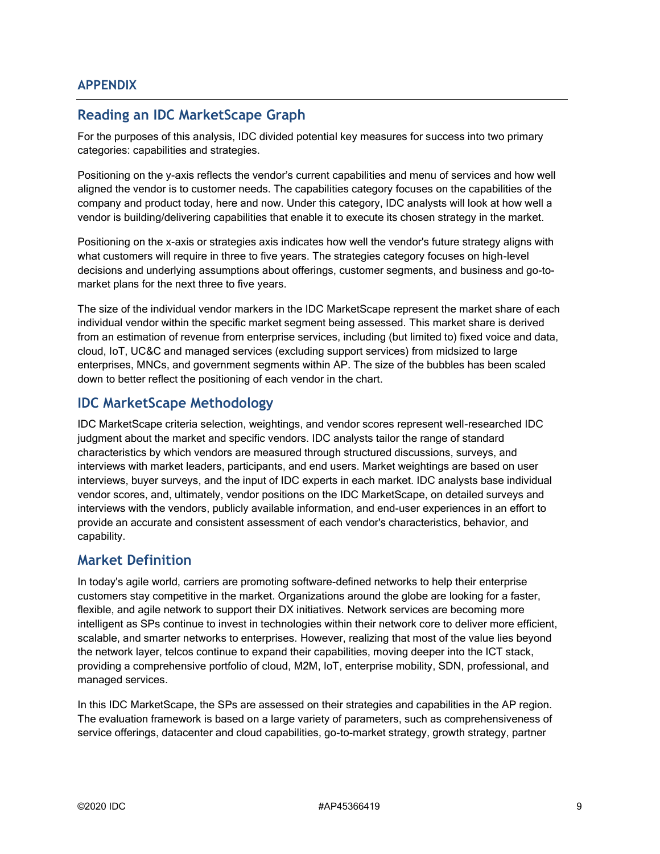# **Reading an IDC MarketScape Graph**

For the purposes of this analysis, IDC divided potential key measures for success into two primary categories: capabilities and strategies.

Positioning on the y-axis reflects the vendor's current capabilities and menu of services and how well aligned the vendor is to customer needs. The capabilities category focuses on the capabilities of the company and product today, here and now. Under this category, IDC analysts will look at how well a vendor is building/delivering capabilities that enable it to execute its chosen strategy in the market.

Positioning on the x-axis or strategies axis indicates how well the vendor's future strategy aligns with what customers will require in three to five years. The strategies category focuses on high-level decisions and underlying assumptions about offerings, customer segments, and business and go-tomarket plans for the next three to five years.

The size of the individual vendor markers in the IDC MarketScape represent the market share of each individual vendor within the specific market segment being assessed. This market share is derived from an estimation of revenue from enterprise services, including (but limited to) fixed voice and data, cloud, IoT, UC&C and managed services (excluding support services) from midsized to large enterprises, MNCs, and government segments within AP. The size of the bubbles has been scaled down to better reflect the positioning of each vendor in the chart.

### **IDC MarketScape Methodology**

IDC MarketScape criteria selection, weightings, and vendor scores represent well-researched IDC judgment about the market and specific vendors. IDC analysts tailor the range of standard characteristics by which vendors are measured through structured discussions, surveys, and interviews with market leaders, participants, and end users. Market weightings are based on user interviews, buyer surveys, and the input of IDC experts in each market. IDC analysts base individual vendor scores, and, ultimately, vendor positions on the IDC MarketScape, on detailed surveys and interviews with the vendors, publicly available information, and end-user experiences in an effort to provide an accurate and consistent assessment of each vendor's characteristics, behavior, and capability.

## **Market Definition**

In today's agile world, carriers are promoting software-defined networks to help their enterprise customers stay competitive in the market. Organizations around the globe are looking for a faster, flexible, and agile network to support their DX initiatives. Network services are becoming more intelligent as SPs continue to invest in technologies within their network core to deliver more efficient, scalable, and smarter networks to enterprises. However, realizing that most of the value lies beyond the network layer, telcos continue to expand their capabilities, moving deeper into the ICT stack, providing a comprehensive portfolio of cloud, M2M, IoT, enterprise mobility, SDN, professional, and managed services.

In this IDC MarketScape, the SPs are assessed on their strategies and capabilities in the AP region. The evaluation framework is based on a large variety of parameters, such as comprehensiveness of service offerings, datacenter and cloud capabilities, go-to-market strategy, growth strategy, partner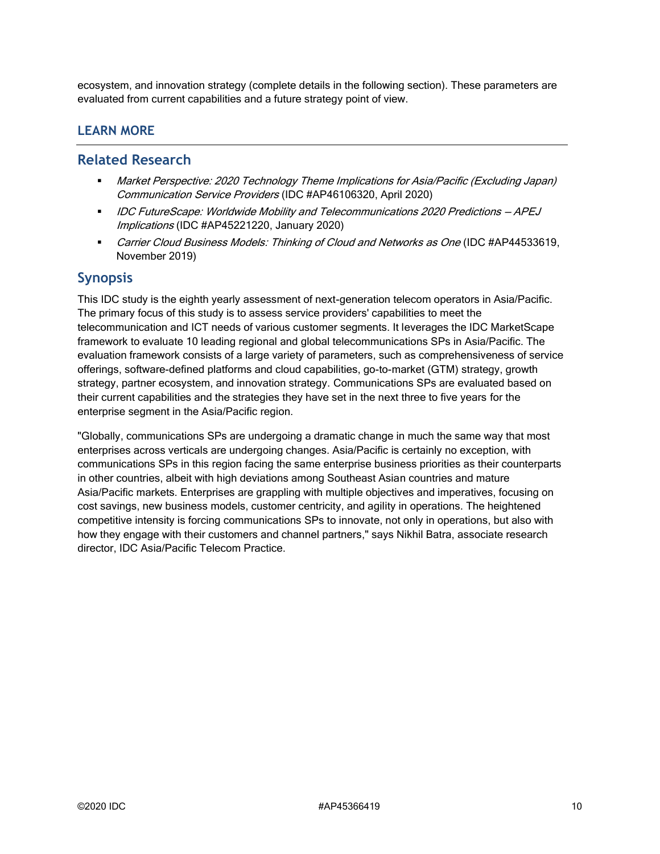ecosystem, and innovation strategy (complete details in the following section). These parameters are evaluated from current capabilities and a future strategy point of view.

#### **LEARN MORE**

#### **Related Research**

- Market Perspective: 2020 Technology Theme Implications for Asia/Pacific (Excluding Japan) Communication Service Providers (IDC #AP46106320, April 2020)
- IDC FutureScape: Worldwide Mobility and Telecommunications 2020 Predictions APEJ Implications (IDC #AP45221220, January 2020)
- Carrier Cloud Business Models: Thinking of Cloud and Networks as One (IDC #AP44533619, November 2019)

#### **Synopsis**

This IDC study is the eighth yearly assessment of next-generation telecom operators in Asia/Pacific. The primary focus of this study is to assess service providers' capabilities to meet the telecommunication and ICT needs of various customer segments. It leverages the IDC MarketScape framework to evaluate 10 leading regional and global telecommunications SPs in Asia/Pacific. The evaluation framework consists of a large variety of parameters, such as comprehensiveness of service offerings, software-defined platforms and cloud capabilities, go-to-market (GTM) strategy, growth strategy, partner ecosystem, and innovation strategy. Communications SPs are evaluated based on their current capabilities and the strategies they have set in the next three to five years for the enterprise segment in the Asia/Pacific region.

"Globally, communications SPs are undergoing a dramatic change in much the same way that most enterprises across verticals are undergoing changes. Asia/Pacific is certainly no exception, with communications SPs in this region facing the same enterprise business priorities as their counterparts in other countries, albeit with high deviations among Southeast Asian countries and mature Asia/Pacific markets. Enterprises are grappling with multiple objectives and imperatives, focusing on cost savings, new business models, customer centricity, and agility in operations. The heightened competitive intensity is forcing communications SPs to innovate, not only in operations, but also with how they engage with their customers and channel partners," says Nikhil Batra, associate research director, IDC Asia/Pacific Telecom Practice.